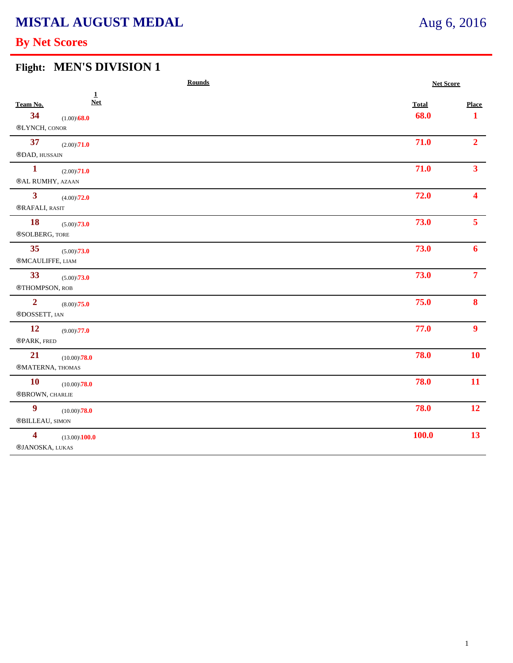# **MISTAL AUGUST MEDAL**

## **By Net Scores**

#### **Flight: MEN'S DIVISION 1**

|                                            | <b>Rounds</b><br><b>Net Score</b> |              |                  |
|--------------------------------------------|-----------------------------------|--------------|------------------|
| Team No.                                   | $\mathbf{1}$<br><b>Net</b>        | <b>Total</b> | <b>Place</b>     |
| 34<br>$\circledR$ LYNCH, CONOR             | $(1.00)\sqrt{68.0}$               | 68.0         | $\mathbf 1$      |
| 37<br>®DAD, HUSSAIN                        | $(2.00)\sqrt{71.0}$               | 71.0         | 2 <sup>1</sup>   |
| $\mathbf{1}$<br>®AL RUMHY, AZAAN           | $(2.00)\sqrt{71.0}$               | 71.0         | 3 <sup>1</sup>   |
| 3 <sup>1</sup><br>®RAFALI, RASIT           | $(4.00)\sqrt{72.0}$               | 72.0         | $\blacktriangle$ |
| <b>18</b><br>®SOLBERG, TORE                | $(5.00)\sqrt{73.0}$               | 73.0         | 5 <sup>1</sup>   |
| 35<br>®MCAULIFFE, LIAM                     | $(5.00)\sqrt{73.0}$               | 73.0         | 6                |
| 33<br>®THOMPSON, ROB                       | $(5.00)\sqrt{73.0}$               | 73.0         | $\overline{7}$   |
| $\overline{2}$<br>®DOSSETT, IAN            | $(8.00)\sqrt{75.0}$               | 75.0         | 8                |
| 12<br>®PARK, FRED                          | $(9.00)\sqrt{77.0}$               | 77.0         | 9 <sup>1</sup>   |
| 21<br>®MATERNA, THOMAS                     | $(10.00)\sqrt{78.0}$              | 78.0         | 10               |
| <b>10</b><br>$\circledR$ BROWN, CHARLIE    | $(10.00)\sqrt{78.0}$              | 78.0         | 11               |
| $\boldsymbol{9}$<br>®BILLEAU, SIMON        | $(10.00)\sqrt{78.0}$              | 78.0         | 12               |
| $\overline{\mathbf{4}}$<br>®JANOSKA, LUKAS | $(13.00)\backslash 100.0$         | <b>100.0</b> | 13               |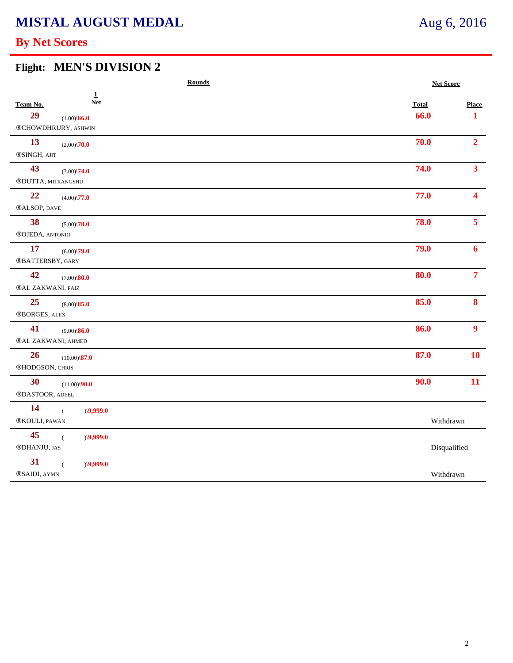# **MISTAL AUGUST MEDAL**

## **By Net Scores**

#### **Flight: MEN'S DIVISION 2**

| <b>Rounds</b>                                                                | <b>Net Score</b>     |                              |
|------------------------------------------------------------------------------|----------------------|------------------------------|
| $\pmb{\underline{1}}$<br><b>Net</b><br>Team No.<br>29<br>$(1.00)\sqrt{66.0}$ | <b>Total</b><br>66.0 | <b>Place</b><br>$\mathbf{1}$ |
| ®CHOWDHRURY, ASHWIN                                                          |                      |                              |
| 13<br>$(2.00)\sqrt{70.0}$                                                    | 70.0                 | 2 <sup>1</sup>               |
| ®SINGH, AJIT                                                                 |                      |                              |
| 43<br>$(3.00)\sqrt{74.0}$                                                    | 74.0                 | 3 <sup>1</sup>               |
| ®DUTTA, MITRANGSHU                                                           |                      |                              |
| 22<br>$(4.00)\backslash 77.0$<br>®ALSOP, DAVE                                | 77.0                 | $\blacktriangle$             |
| 38<br>$(5.00)\backslash 78.0$<br>®OJEDA, ANTONIO                             | 78.0                 | 5 <sup>1</sup>               |
| 17<br>$(6.00)\sqrt{79.0}$<br>®BATTERSBY, GARY                                | 79.0                 | 6                            |
| 42<br>$(7.00)$ $80.0$<br>®AL ZAKWANI, FAIZ                                   | 80.0                 | 7 <sup>7</sup>               |
| 25<br>$(8.00)\$ \ <b>85.0</b><br>$\circledR$ BORGES, ALEX                    | 85.0                 | 8                            |
| 41<br>$(9.00)\$ 86.0<br>®AL ZAKWANI, AHMED                                   | 86.0                 | 9 <sup>°</sup>               |
| 26<br>$(10.00)\backslash\textbf{87.0}$<br>®HODGSON, CHRIS                    | 87.0                 | 10                           |
| 30<br>$(11.00)\sqrt{90.0}$<br>®DASTOOR, ADEEL                                | 90.0                 | 11                           |
| 14<br>)(9,999.0)<br>$\overline{(\ }$<br>®KOULI, PAWAN                        | Withdrawn            |                              |
| 45<br>)(9,999.0)<br>$\overline{(\ }$<br>$\circledR$ DHANJU, JAS              | Disqualified         |                              |
| 31<br>)(9,999.0)                                                             |                      |                              |
| ®SAIDI, AYMN                                                                 | Withdrawn            |                              |